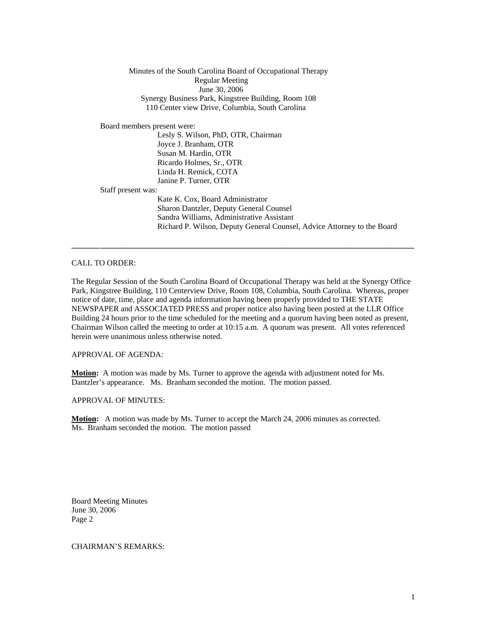Minutes of the South Carolina Board of Occupational Therapy Regular Meeting June 30, 2006 Synergy Business Park, Kingstree Building, Room 108 110 Center view Drive, Columbia, South Carolina

Board members present were:

 Lesly S. Wilson, PhD, OTR, Chairman Joyce J. Branham, OTR Susan M. Hardin, OTR Ricardo Holmes, Sr., OTR Linda H. Remick, COTA Janine P. Turner, OTR

Staff present was:

Kate K. Cox, Board Administrator Sharon Dantzler, Deputy General Counsel Sandra Williams, Administrative Assistant Richard P. Wilson, Deputy General Counsel, Advice Attorney to the Board

CALL TO ORDER:

The Regular Session of the South Carolina Board of Occupational Therapy was held at the Synergy Office Park, Kingstree Building, 110 Centerview Drive, Room 108, Columbia, South Carolina. Whereas, proper notice of date, time, place and agenda information having been properly provided to THE STATE NEWSPAPER and ASSOCIATED PRESS and proper notice also having been posted at the LLR Office Building 24 hours prior to the time scheduled for the meeting and a quorum having been noted as present, Chairman Wilson called the meeting to order at 10:15 a.m. A quorum was present. All votes referenced herein were unanimous unless otherwise noted.

**\_\_\_\_\_\_\_ \_\_\_\_\_\_\_\_\_\_\_\_\_\_\_\_\_\_\_\_\_\_\_\_\_\_\_\_\_\_\_\_\_\_\_\_\_\_\_\_\_\_\_\_\_\_\_\_\_\_\_\_\_\_\_\_\_\_\_\_\_\_\_\_\_\_\_\_\_\_\_\_\_\_\_\_\_\_\_** 

APPROVAL OF AGENDA:

**Motion:** A motion was made by Ms. Turner to approve the agenda with adjustment noted for Ms. Dantzler's appearance. Ms. Branham seconded the motion. The motion passed.

APPROVAL OF MINUTES:

**Motion:** A motion was made by Ms. Turner to accept the March 24, 2006 minutes as corrected. Ms. Branham seconded the motion. The motion passed

Board Meeting Minutes June 30, 2006 Page 2

CHAIRMAN'S REMARKS: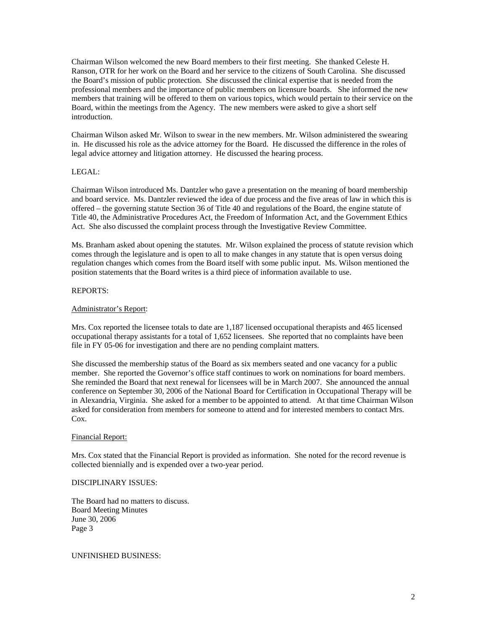Chairman Wilson welcomed the new Board members to their first meeting. She thanked Celeste H. Ranson, OTR for her work on the Board and her service to the citizens of South Carolina. She discussed the Board's mission of public protection. She discussed the clinical expertise that is needed from the professional members and the importance of public members on licensure boards. She informed the new members that training will be offered to them on various topics, which would pertain to their service on the Board, within the meetings from the Agency. The new members were asked to give a short self introduction.

Chairman Wilson asked Mr. Wilson to swear in the new members. Mr. Wilson administered the swearing in. He discussed his role as the advice attorney for the Board. He discussed the difference in the roles of legal advice attorney and litigation attorney. He discussed the hearing process.

## LEGAL:

Chairman Wilson introduced Ms. Dantzler who gave a presentation on the meaning of board membership and board service. Ms. Dantzler reviewed the idea of due process and the five areas of law in which this is offered – the governing statute Section 36 of Title 40 and regulations of the Board, the engine statute of Title 40, the Administrative Procedures Act, the Freedom of Information Act, and the Government Ethics Act. She also discussed the complaint process through the Investigative Review Committee.

Ms. Branham asked about opening the statutes. Mr. Wilson explained the process of statute revision which comes through the legislature and is open to all to make changes in any statute that is open versus doing regulation changes which comes from the Board itself with some public input. Ms. Wilson mentioned the position statements that the Board writes is a third piece of information available to use.

## REPORTS:

## Administrator's Report:

Mrs. Cox reported the licensee totals to date are 1,187 licensed occupational therapists and 465 licensed occupational therapy assistants for a total of 1,652 licensees. She reported that no complaints have been file in FY 05-06 for investigation and there are no pending complaint matters.

She discussed the membership status of the Board as six members seated and one vacancy for a public member. She reported the Governor's office staff continues to work on nominations for board members. She reminded the Board that next renewal for licensees will be in March 2007. She announced the annual conference on September 30, 2006 of the National Board for Certification in Occupational Therapy will be in Alexandria, Virginia. She asked for a member to be appointed to attend. At that time Chairman Wilson asked for consideration from members for someone to attend and for interested members to contact Mrs. Cox.

### Financial Report:

Mrs. Cox stated that the Financial Report is provided as information. She noted for the record revenue is collected biennially and is expended over a two-year period.

### DISCIPLINARY ISSUES:

The Board had no matters to discuss. Board Meeting Minutes June 30, 2006 Page 3

UNFINISHED BUSINESS: